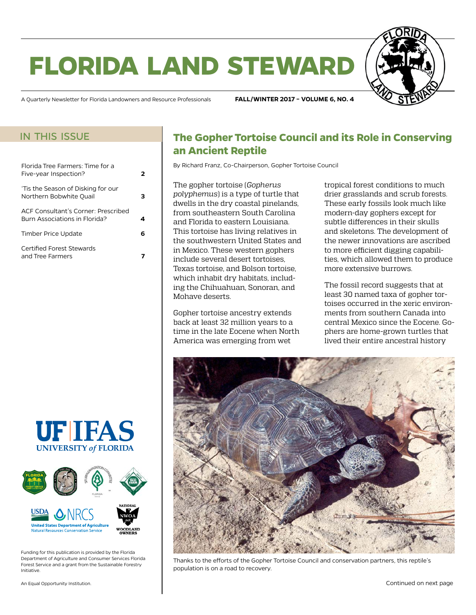# **florida land steward**



A Quarterly Newsletter for Florida Landowners and Resource Professionals **FALL/WINTER 2017 – VOLUME 6, NO. 4**

#### in this issue

| Florida Tree Farmers: Time for a<br>Five-year Inspection?            | 2 |
|----------------------------------------------------------------------|---|
| 'Tis the Season of Disking for our<br>Northern Bobwhite Ouail        |   |
| ACE Consultant's Corner: Prescribed<br>Burn Associations in Florida? |   |
| Timber Price Update                                                  | 6 |
| Certified Forest Stewards<br>and Tree Farmers                        |   |





Funding for this publication is provided by the Florida Department of Agriculture and Consumer Services Florida Forest Service and a grant from the Sustainable Forestry Initiative.

## **The Gopher Tortoise Council and its Role in Conserving an Ancient Reptile**

By Richard Franz, Co-Chairperson, Gopher Tortoise Council

The gopher tortoise (*Gopherus polyphemus*) is a type of turtle that dwells in the dry coastal pinelands, from southeastern South Carolina and Florida to eastern Louisiana. This tortoise has living relatives in the southwestern United States and in Mexico. These western gophers include several desert tortoises, Texas tortoise, and Bolson tortoise, which inhabit dry habitats, including the Chihuahuan, Sonoran, and Mohave deserts.

Gopher tortoise ancestry extends back at least 32 million years to a time in the late Eocene when North America was emerging from wet

tropical forest conditions to much drier grasslands and scrub forests. These early fossils look much like modern-day gophers except for subtle differences in their skulls and skeletons. The development of the newer innovations are ascribed to more efficient digging capabilities, which allowed them to produce more extensive burrows.

The fossil record suggests that at least 30 named taxa of gopher tortoises occurred in the xeric environments from southern Canada into central Mexico since the Eocene. Gophers are home-grown turtles that lived their entire ancestral history



Thanks to the efforts of the Gopher Tortoise Council and conservation partners, this reptile's population is on a road to recovery.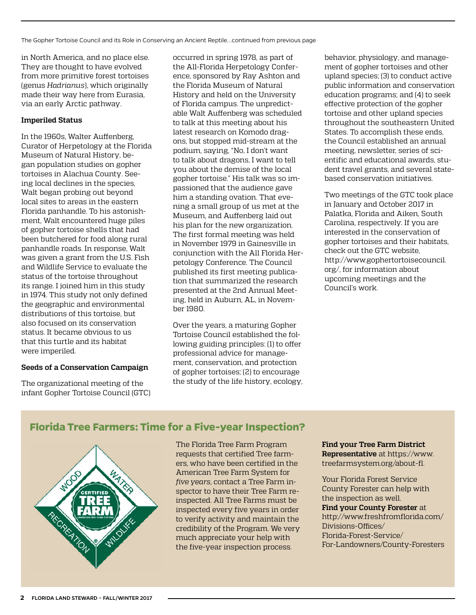<span id="page-1-0"></span>The Gopher Tortoise Council and its Role in Conserving an Ancient Reptile...continued from previous page

in North America, and no place else. They are thought to have evolved from more primitive forest tortoises (genus *Hadrianus*), which originally made their way here from Eurasia, via an early Arctic pathway.

#### **Imperiled Status**

In the 1960s, Walter Auffenberg, Curator of Herpetology at the Florida Museum of Natural History, began population studies on gopher tortoises in Alachua County. Seeing local declines in the species, Walt began probing out beyond local sites to areas in the eastern Florida panhandle. To his astonishment, Walt encountered huge piles of gopher tortoise shells that had been butchered for food along rural panhandle roads. In response, Walt was given a grant from the U.S. Fish and Wildlife Service to evaluate the status of the tortoise throughout its range. I joined him in this study in 1974. This study not only defined the geographic and environmental distributions of this tortoise, but also focused on its conservation status. It became obvious to us that this turtle and its habitat were imperiled.

#### **Seeds of a Conservation Campaign**

The organizational meeting of the infant Gopher Tortoise Council (GTC) occurred in spring 1978, as part of the All-Florida Herpetology Conference, sponsored by Ray Ashton and the Florida Museum of Natural History and held on the University of Florida campus. The unpredictable Walt Auffenberg was scheduled to talk at this meeting about his latest research on Komodo dragons, but stopped mid-stream at the podium, saying, "No, I don't want to talk about dragons, I want to tell you about the demise of the local gopher tortoise." His talk was so impassioned that the audience gave him a standing ovation. That evening a small group of us met at the Museum, and Auffenberg laid out his plan for the new organization. The first formal meeting was held in November 1979 in Gainesville in conjunction with the All Florida Herpetology Conference. The Council published its first meeting publication that summarized the research presented at the 2nd Annual Meeting, held in Auburn, AL, in November 1980.

Over the years, a maturing Gopher Tortoise Council established the following guiding principles: (1) to offer professional advice for management, conservation, and protection of gopher tortoises; (2) to encourage the study of the life history, ecology, behavior, physiology, and management of gopher tortoises and other upland species; (3) to conduct active public information and conservation education programs; and (4) to seek effective protection of the gopher tortoise and other upland species throughout the southeastern United States. To accomplish these ends, the Council established an annual meeting, newsletter, series of scientific and educational awards, student travel grants, and several statebased conservation initiatives.

Two meetings of the GTC took place in January and October 2017 in Palatka, Florida and Aiken, South Carolina, respectively. If you are interested in the conservation of gopher tortoises and their habitats, check out the GTC website, [http://www.gophertortoisecouncil.](http://www.gophertortoisecouncil.org/) [org/,](http://www.gophertortoisecouncil.org/) for information about upcoming meetings and the Council's work.

#### **Florida Tree Farmers: Time for a Five-year Inspection?**



The Florida Tree Farm Program requests that certified Tree farmers, who have been certified in the American Tree Farm System for *five years*, contact a Tree Farm inspector to have their Tree Farm reinspected. All Tree Farms must be inspected every five years in order to verify activity and maintain the credibility of the Program. We very much appreciate your help with the five-year inspection process.

**Find your Tree Farm District Representative** at [https://www.](https://www.treefarmsystem.org/about-fl) [treefarmsystem.org/about-fl.](https://www.treefarmsystem.org/about-fl)

Your Florida Forest Service County Forester can help with the inspection as well. **Find your County Forester** at [http://www.freshfromflorida.com/](http://www.freshfromflorida.com/Divisions-Offices/Florida-Forest-Service/For-Landowners/County-Foresters) [Divisions-Offices/](http://www.freshfromflorida.com/Divisions-Offices/Florida-Forest-Service/For-Landowners/County-Foresters) [Florida-Forest-Service/](http://www.freshfromflorida.com/Divisions-Offices/Florida-Forest-Service/For-Landowners/County-Foresters) [For-Landowners/County-Foresters](http://www.freshfromflorida.com/Divisions-Offices/Florida-Forest-Service/For-Landowners/County-Foresters)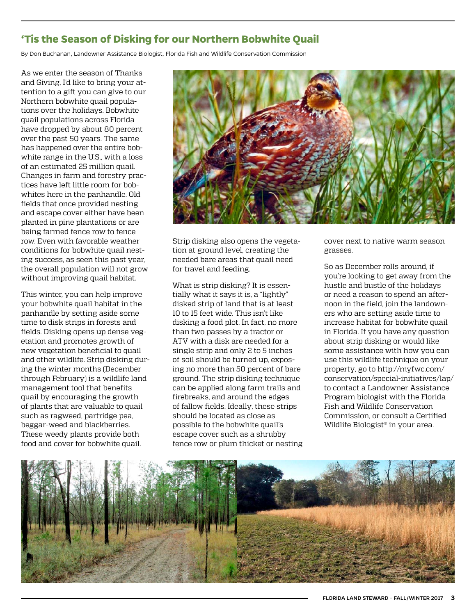### <span id="page-2-0"></span>**'Tis the Season of Disking for our Northern Bobwhite Quail**

By Don Buchanan, Landowner Assistance Biologist, Florida Fish and Wildlife Conservation Commission

As we enter the season of Thanks and Giving, I'd like to bring your attention to a gift you can give to our Northern bobwhite quail populations over the holidays. Bobwhite quail populations across Florida have dropped by about 80 percent over the past 50 years. The same has happened over the entire bobwhite range in the U.S., with a loss of an estimated 25 million quail. Changes in farm and forestry practices have left little room for bobwhites here in the panhandle. Old fields that once provided nesting and escape cover either have been planted in pine plantations or are being farmed fence row to fence row. Even with favorable weather conditions for bobwhite quail nesting success, as seen this past year, the overall population will not grow without improving quail habitat.

This winter, you can help improve your bobwhite quail habitat in the panhandle by setting aside some time to disk strips in forests and fields. Disking opens up dense vegetation and promotes growth of new vegetation beneficial to quail and other wildlife. Strip disking during the winter months (December through February) is a wildlife land management tool that benefits quail by encouraging the growth of plants that are valuable to quail such as ragweed, partridge pea, beggar-weed and blackberries. These weedy plants provide both food and cover for bobwhite quail.



Strip disking also opens the vegetation at ground level, creating the needed bare areas that quail need for travel and feeding.

What is strip disking? It is essentially what it says it is, a "lightly" disked strip of land that is at least 10 to 15 feet wide. This isn't like disking a food plot. In fact, no more than two passes by a tractor or ATV with a disk are needed for a single strip and only 2 to 5 inches of soil should be turned up, exposing no more than 50 percent of bare ground. The strip disking technique can be applied along farm trails and firebreaks, and around the edges of fallow fields. Ideally, these strips should be located as close as possible to the bobwhite quail's escape cover such as a shrubby fence row or plum thicket or nesting cover next to native warm season grasses.

So as December rolls around, if you're looking to get away from the hustle and bustle of the holidays or need a reason to spend an afternoon in the field, join the landowners who are setting aside time to increase habitat for bobwhite quail in Florida. If you have any question about strip disking or would like some assistance with how you can use this wildlife technique on your property, go to [http://myfwc.com/](http://myfwc.com/conservation/special-initiatives/lap/) [conservation/special-initiatives/lap/](http://myfwc.com/conservation/special-initiatives/lap/) to contact a Landowner Assistance Program biologist with the Florida Fish and Wildlife Conservation Commission, or consult a Certified Wildlife Biologist® in your area.

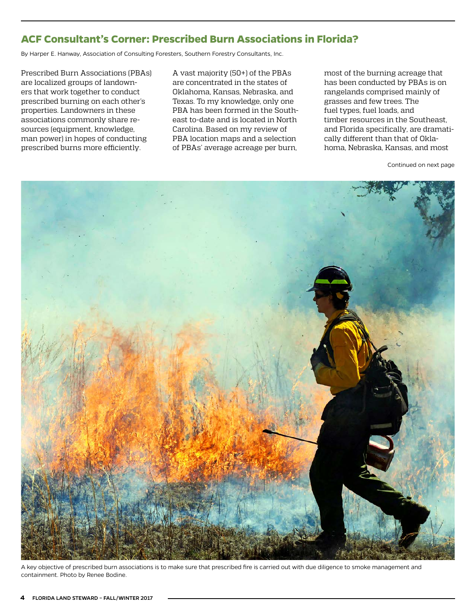### <span id="page-3-0"></span>**ACF Consultant's Corner: Prescribed Burn Associations in Florida?**

By Harper E. Hanway, Association of Consulting Foresters, Southern Forestry Consultants, Inc.

Prescribed Burn Associations (PBAs) are localized groups of landowners that work together to conduct prescribed burning on each other's properties. Landowners in these associations commonly share resources (equipment, knowledge, man power) in hopes of conducting prescribed burns more efficiently.

A vast majority (50+) of the PBAs are concentrated in the states of Oklahoma, Kansas, Nebraska, and Texas. To my knowledge, only one PBA has been formed in the Southeast to-date and is located in North Carolina. Based on my review of PBA location maps and a selection of PBAs' average acreage per burn,

most of the burning acreage that has been conducted by PBAs is on rangelands comprised mainly of grasses and few trees. The fuel types, fuel loads, and timber resources in the Southeast, and Florida specifically, are dramatically different than that of Oklahoma, Nebraska, Kansas, and most

Continued on next page



A key objective of prescribed burn associations is to make sure that prescribed fire is carried out with due diligence to smoke management and containment. Photo by Renee Bodine.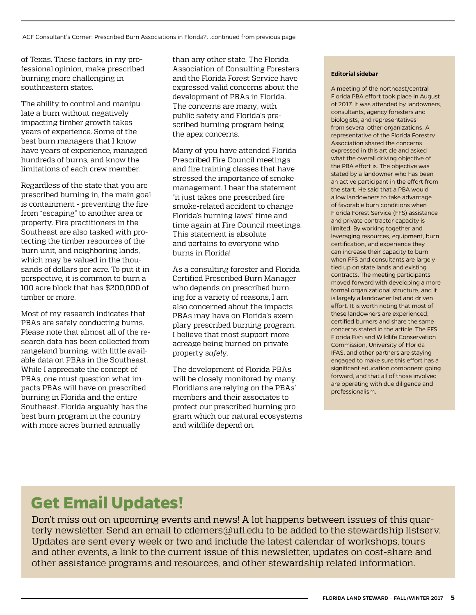of Texas. These factors, in my professional opinion, make prescribed burning more challenging in southeastern states.

The ability to control and manipulate a burn without negatively impacting timber growth takes years of experience. Some of the best burn managers that I know have years of experience, managed hundreds of burns, and know the limitations of each crew member.

Regardless of the state that you are prescribed burning in, the main goal is containment - preventing the fire from "escaping" to another area or property. Fire practitioners in the Southeast are also tasked with protecting the timber resources of the burn unit, and neighboring lands, which may be valued in the thousands of dollars per acre. To put it in perspective, it is common to burn a 100 acre block that has \$200,000 of timber or more.

Most of my research indicates that PBAs are safely conducting burns. Please note that almost all of the research data has been collected from rangeland burning, with little available data on PBAs in the Southeast. While I appreciate the concept of PBAs, one must question what impacts PBAs will have on prescribed burning in Florida and the entire Southeast. Florida arguably has the best burn program in the country with more acres burned annually

than any other state. The Florida Association of Consulting Foresters and the Florida Forest Service have expressed valid concerns about the development of PBAs in Florida. The concerns are many, with public safety and Florida's prescribed burning program being the apex concerns.

Many of you have attended Florida Prescribed Fire Council meetings and fire training classes that have stressed the importance of smoke management. I hear the statement "it just takes one prescribed fire smoke-related accident to change Florida's burning laws" time and time again at Fire Council meetings. This statement is absolute and pertains to everyone who burns in Florida!

As a consulting forester and Florida Certified Prescribed Burn Manager who depends on prescribed burning for a variety of reasons, I am also concerned about the impacts PBAs may have on Florida's exemplary prescribed burning program. I believe that most support more acreage being burned on private property *safely*.

The development of Florida PBAs will be closely monitored by many. Floridians are relying on the PBAs' members and their associates to protect our prescribed burning program which our natural ecosystems and wildlife depend on.

#### **Editorial sidebar**

A meeting of the northeast/central Florida PBA effort took place in August of 2017. It was attended by landowners, consultants, agency foresters and biologists, and representatives from several other organizations. A representative of the Florida Forestry Association shared the concerns expressed in this article and asked what the overall driving objective of the PBA effort is. The objective was stated by a landowner who has been an active participant in the effort from the start. He said that a PBA would allow landowners to take advantage of favorable burn conditions when Florida Forest Service (FFS) assistance and private contractor capacity is limited. By working together and leveraging resources, equipment, burn certification, and experience they can increase their capacity to burn when FFS and consultants are largely tied up on state lands and existing contracts. The meeting participants moved forward with developing a more formal organizational structure, and it is largely a landowner led and driven effort. It is worth noting that most of these landowners are experienced, certified burners and share the same concerns stated in the article. The FFS, Florida Fish and Wildlife Conservation Commission, University of Florida IFAS, and other partners are staying engaged to make sure this effort has a significant education component going forward, and that all of those involved are operating with due diligence and professionalism.

## **Get Email Updates!**

Don't miss out on upcoming events and news! A lot happens between issues of this quarterly newsletter. Send an email to [cdemers@ufl.edu](mailto:cdemers%40ufl.edu?subject=) to be added to the stewardship listserv. Updates are sent every week or two and include the latest calendar of workshops, tours and other events, a link to the current issue of this newsletter, updates on cost-share and other assistance programs and resources, and other stewardship related information.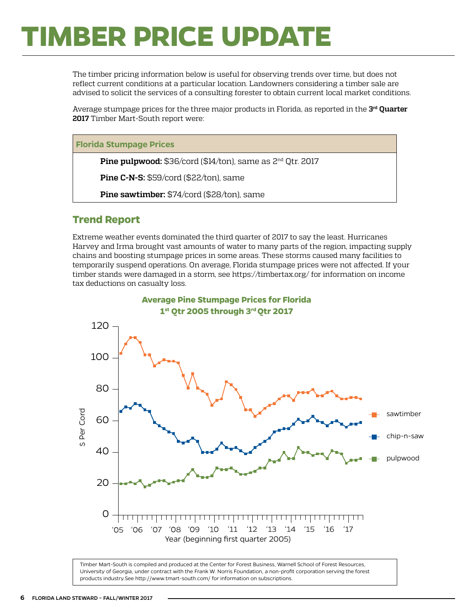# <span id="page-5-0"></span>**TIMBER PRICE UPDATE**

The timber pricing information below is useful for observing trends over time, but does not reflect current conditions at a particular location. Landowners considering a timber sale are advised to solicit the services of a consulting forester to obtain current local market conditions.

Average stumpage prices for the three major products in Florida, as reported in the **3rd Quarter 2017** Timber Mart-South report were:

**Florida Stumpage Prices**

**Pine pulpwood:** \$36/cord (\$14/ton), same as 2<sup>nd</sup> Qtr. 2017

**Pine C-N-S:** \$59/cord (\$22/ton), same

**Pine sawtimber:** \$74/cord (\$28/ton), same

#### **Trend Report**

Extreme weather events dominated the third quarter of 2017 to say the least. Hurricanes Harvey and Irma brought vast amounts of water to many parts of the region, impacting supply chains and boosting stumpage prices in some areas. These storms caused many facilities to temporarily suspend operations. On average, Florida stumpage prices were not affected. If your timber stands were damaged in a storm, see <https://timbertax.org/>for information on income tax deductions on casualty loss.



Timber Mart-South is compiled and produced at the Center for Forest Business, Warnell School of Forest Resources, University of Georgia, under contract with the Frank W. Norris Foundation, a non-profit corporation serving the forest products industry.See<http://www.tmart-south.com/>for information on subscriptions.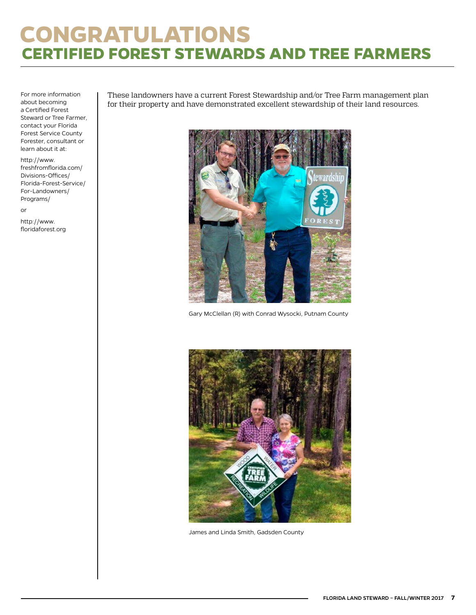# <span id="page-6-0"></span>**CONGRATULATIONS CERTIFIED FOREST STEWARDS AND TREE FARMERS**

For more information about becoming a Certified Forest Steward or Tree Farmer, contact your Florida Forest Service County Forester, consultant or learn about it at:

[http://www.](http://www.freshfromflorida.com/Divisions-Offices/Florida-Forest-Service/For-Landowners/Programs/) [freshfromflorida.com/](http://www.freshfromflorida.com/Divisions-Offices/Florida-Forest-Service/For-Landowners/Programs/) [Divisions-Offices/](http://www.freshfromflorida.com/Divisions-Offices/Florida-Forest-Service/For-Landowners/Programs/) [Florida-Forest-Service/](http://www.freshfromflorida.com/Divisions-Offices/Florida-Forest-Service/For-Landowners/Programs/) [For-Landowners/](http://www.freshfromflorida.com/Divisions-Offices/Florida-Forest-Service/For-Landowners/Programs/) [Programs/](http://www.freshfromflorida.com/Divisions-Offices/Florida-Forest-Service/For-Landowners/Programs/)

or

http://[www.](http://www.floridaforest.org) [floridaforest.org](http://www.floridaforest.org) These landowners have a current Forest Stewardship and/or Tree Farm management plan for their property and have demonstrated excellent stewardship of their land resources.



Gary McClellan (R) with Conrad Wysocki, Putnam County



James and Linda Smith, Gadsden County